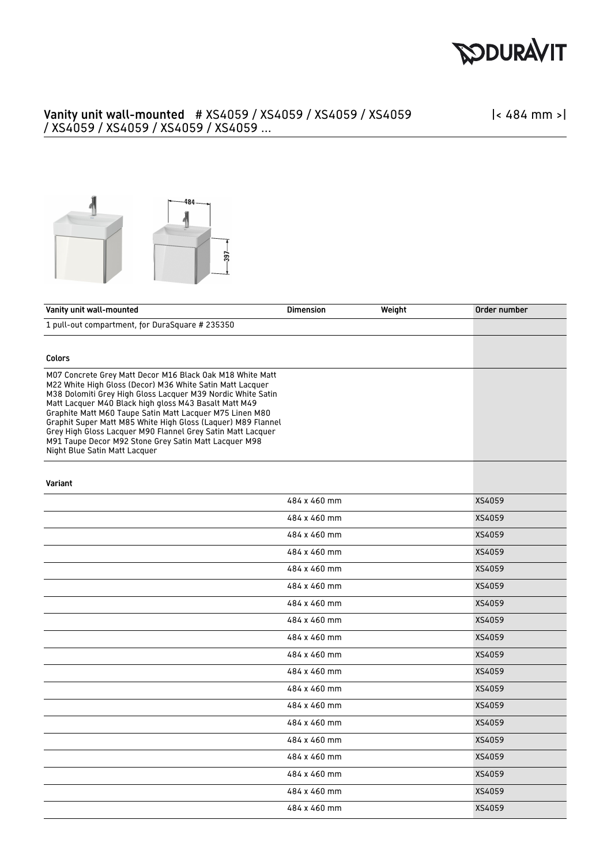

## Vanity unit wall-mounted # XS4059 / XS4059 / XS4059 / XS4059 / XS4059 / XS4059 / XS4059 / XS4059 ...

|< 484 mm >|



| Vanity unit wall-mounted                                                                                                                                                                                                                                                                                                                                                                                                                                                                                                            | <b>Dimension</b> | Weight | Order number |
|-------------------------------------------------------------------------------------------------------------------------------------------------------------------------------------------------------------------------------------------------------------------------------------------------------------------------------------------------------------------------------------------------------------------------------------------------------------------------------------------------------------------------------------|------------------|--------|--------------|
| 1 pull-out compartment, for DuraSquare # 235350                                                                                                                                                                                                                                                                                                                                                                                                                                                                                     |                  |        |              |
|                                                                                                                                                                                                                                                                                                                                                                                                                                                                                                                                     |                  |        |              |
| <b>Colors</b>                                                                                                                                                                                                                                                                                                                                                                                                                                                                                                                       |                  |        |              |
| M07 Concrete Grey Matt Decor M16 Black Oak M18 White Matt<br>M22 White High Gloss (Decor) M36 White Satin Matt Lacquer<br>M38 Dolomiti Grey High Gloss Lacquer M39 Nordic White Satin<br>Matt Lacquer M40 Black high gloss M43 Basalt Matt M49<br>Graphite Matt M60 Taupe Satin Matt Lacquer M75 Linen M80<br>Graphit Super Matt M85 White High Gloss (Laquer) M89 Flannel<br>Grey High Gloss Lacquer M90 Flannel Grey Satin Matt Lacquer<br>M91 Taupe Decor M92 Stone Grey Satin Matt Lacquer M98<br>Night Blue Satin Matt Lacquer |                  |        |              |
| Variant                                                                                                                                                                                                                                                                                                                                                                                                                                                                                                                             |                  |        |              |
|                                                                                                                                                                                                                                                                                                                                                                                                                                                                                                                                     | 484 x 460 mm     |        | XS4059       |
|                                                                                                                                                                                                                                                                                                                                                                                                                                                                                                                                     | 484 x 460 mm     |        | XS4059       |
|                                                                                                                                                                                                                                                                                                                                                                                                                                                                                                                                     | 484 x 460 mm     |        | XS4059       |
|                                                                                                                                                                                                                                                                                                                                                                                                                                                                                                                                     | 484 x 460 mm     |        | XS4059       |
|                                                                                                                                                                                                                                                                                                                                                                                                                                                                                                                                     | 484 x 460 mm     |        | XS4059       |
|                                                                                                                                                                                                                                                                                                                                                                                                                                                                                                                                     | 484 x 460 mm     |        | XS4059       |
|                                                                                                                                                                                                                                                                                                                                                                                                                                                                                                                                     | 484 x 460 mm     |        | XS4059       |
|                                                                                                                                                                                                                                                                                                                                                                                                                                                                                                                                     | 484 x 460 mm     |        | XS4059       |
|                                                                                                                                                                                                                                                                                                                                                                                                                                                                                                                                     | 484 x 460 mm     |        | XS4059       |
|                                                                                                                                                                                                                                                                                                                                                                                                                                                                                                                                     | 484 x 460 mm     |        | XS4059       |
|                                                                                                                                                                                                                                                                                                                                                                                                                                                                                                                                     | 484 x 460 mm     |        | XS4059       |
|                                                                                                                                                                                                                                                                                                                                                                                                                                                                                                                                     | 484 x 460 mm     |        | XS4059       |
|                                                                                                                                                                                                                                                                                                                                                                                                                                                                                                                                     | 484 x 460 mm     |        | XS4059       |
|                                                                                                                                                                                                                                                                                                                                                                                                                                                                                                                                     | 484 x 460 mm     |        | XS4059       |
|                                                                                                                                                                                                                                                                                                                                                                                                                                                                                                                                     | 484 x 460 mm     |        | XS4059       |
|                                                                                                                                                                                                                                                                                                                                                                                                                                                                                                                                     | 484 x 460 mm     |        | XS4059       |
|                                                                                                                                                                                                                                                                                                                                                                                                                                                                                                                                     | 484 x 460 mm     |        | XS4059       |
|                                                                                                                                                                                                                                                                                                                                                                                                                                                                                                                                     | 484 x 460 mm     |        | XS4059       |
|                                                                                                                                                                                                                                                                                                                                                                                                                                                                                                                                     | 484 x 460 mm     |        | XS4059       |